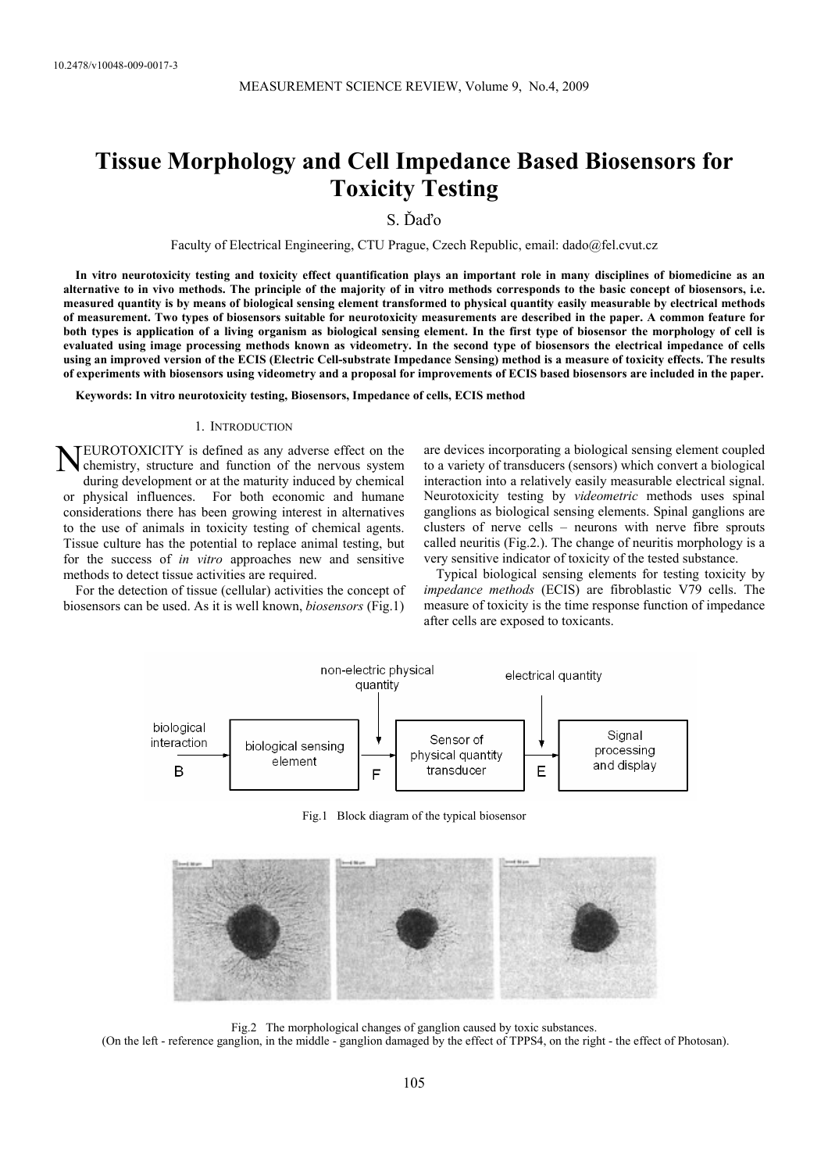# **Tissue Morphology and Cell Impedance Based Biosensors for Toxicity Testing**

S. Ďaďo

Faculty of Electrical Engineering, CTU Prague, Czech Republic, email: dado@fel.cvut.cz

**In vitro neurotoxicity testing and toxicity effect quantification plays an important role in many disciplines of biomedicine as an alternative to in vivo methods. The principle of the majority of in vitro methods corresponds to the basic concept of biosensors, i.e. measured quantity is by means of biological sensing element transformed to physical quantity easily measurable by electrical methods of measurement. Two types of biosensors suitable for neurotoxicity measurements are described in the paper. A common feature for both types is application of a living organism as biological sensing element. In the first type of biosensor the morphology of cell is evaluated using image processing methods known as videometry. In the second type of biosensors the electrical impedance of cells using an improved version of the ECIS (Electric Cell-substrate Impedance Sensing) method is a measure of toxicity effects. The results of experiments with biosensors using videometry and a proposal for improvements of ECIS based biosensors are included in the paper.** 

**Keywords: In vitro neurotoxicity testing, Biosensors, Impedance of cells, ECIS method** 

## 1. INTRODUCTION

EUROTOXICITY is defined as any adverse effect on the chemistry, structure and function of the nervous system during development or at the maturity induced by chemical or physical influences. For both economic and humane considerations there has been growing interest in alternatives to the use of animals in toxicity testing of chemical agents. Tissue culture has the potential to replace animal testing, but for the success of *in vitro* approaches new and sensitive methods to detect tissue activities are required. N

For the detection of tissue (cellular) activities the concept of biosensors can be used. As it is well known, *biosensors* (Fig.1)

are devices incorporating a biological sensing element coupled to a variety of transducers (sensors) which convert a biological interaction into a relatively easily measurable electrical signal. Neurotoxicity testing by *videometric* methods uses spinal ganglions as biological sensing elements. Spinal ganglions are clusters of nerve cells – neurons with nerve fibre sprouts called neuritis (Fig.2.). The change of neuritis morphology is a very sensitive indicator of toxicity of the tested substance.

Typical biological sensing elements for testing toxicity by *impedance methods* (ECIS) are fibroblastic V79 cells. The measure of toxicity is the time response function of impedance after cells are exposed to toxicants.



Fig.1 Block diagram of the typical biosensor



Fig.2 The morphological changes of ganglion caused by toxic substances.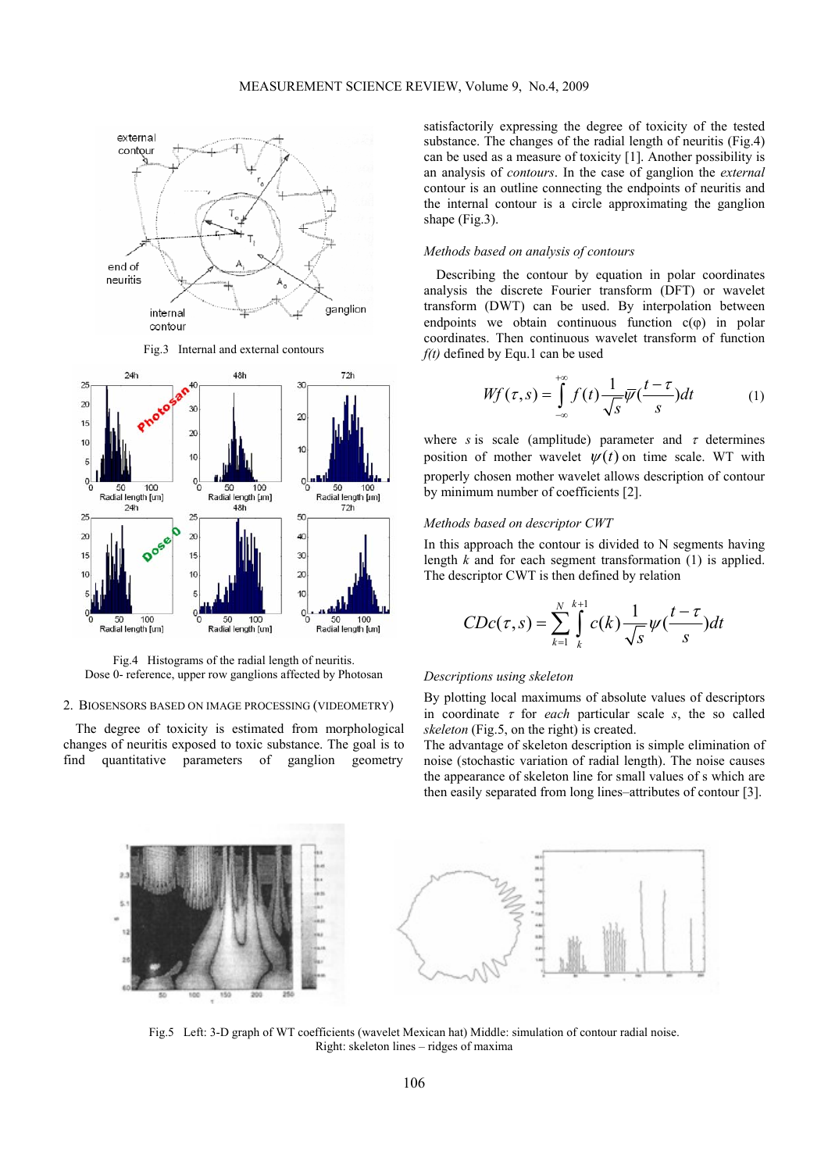

Fig.3 Internal and external contours



Fig.4 Histograms of the radial length of neuritis. Dose 0- reference, upper row ganglions affected by Photosan

## 2. BIOSENSORS BASED ON IMAGE PROCESSING (VIDEOMETRY)

The degree of toxicity is estimated from morphological changes of neuritis exposed to toxic substance. The goal is to find quantitative parameters of ganglion geometry

satisfactorily expressing the degree of toxicity of the tested substance. The changes of the radial length of neuritis (Fig.4) can be used as a measure of toxicity [1]. Another possibility is an analysis of *contours*. In the case of ganglion the *external* contour is an outline connecting the endpoints of neuritis and the internal contour is a circle approximating the ganglion shape (Fig.3).

# *Methods based on analysis of contours*

Describing the contour by equation in polar coordinates analysis the discrete Fourier transform (DFT) or wavelet transform (DWT) can be used. By interpolation between endpoints we obtain continuous function  $c(\varphi)$  in polar coordinates. Then continuous wavelet transform of function *f(t)* defined by Equ.1 can be used

$$
Wf(\tau,s) = \int_{-\infty}^{+\infty} f(t) \frac{1}{\sqrt{s}} \overline{\psi}(\frac{t-\tau}{s}) dt \tag{1}
$$

where *s* is scale (amplitude) parameter and  $\tau$  determines position of mother wavelet  $\psi(t)$  on time scale. WT with properly chosen mother wavelet allows description of contour by minimum number of coefficients [2].

# *Methods based on descriptor CWT*

In this approach the contour is divided to N segments having length *k* and for each segment transformation (1) is applied. The descriptor CWT is then defined by relation

$$
CDC(\tau,s) = \sum_{k=1}^{N} \int_{k}^{k+1} c(k) \frac{1}{\sqrt{s}} \psi(\frac{t-\tau}{s}) dt
$$

#### *Descriptions using skeleton*

By plotting local maximums of absolute values of descriptors in coordinate  $\tau$  for *each* particular scale *s*, the so called *skeleton* (Fig.5, on the right) is created.

The advantage of skeleton description is simple elimination of noise (stochastic variation of radial length). The noise causes the appearance of skeleton line for small values of s which are then easily separated from long lines–attributes of contour [3].



Fig.5 Left: 3-D graph of WT coefficients (wavelet Mexican hat) Middle: simulation of contour radial noise. Right: skeleton lines – ridges of maxima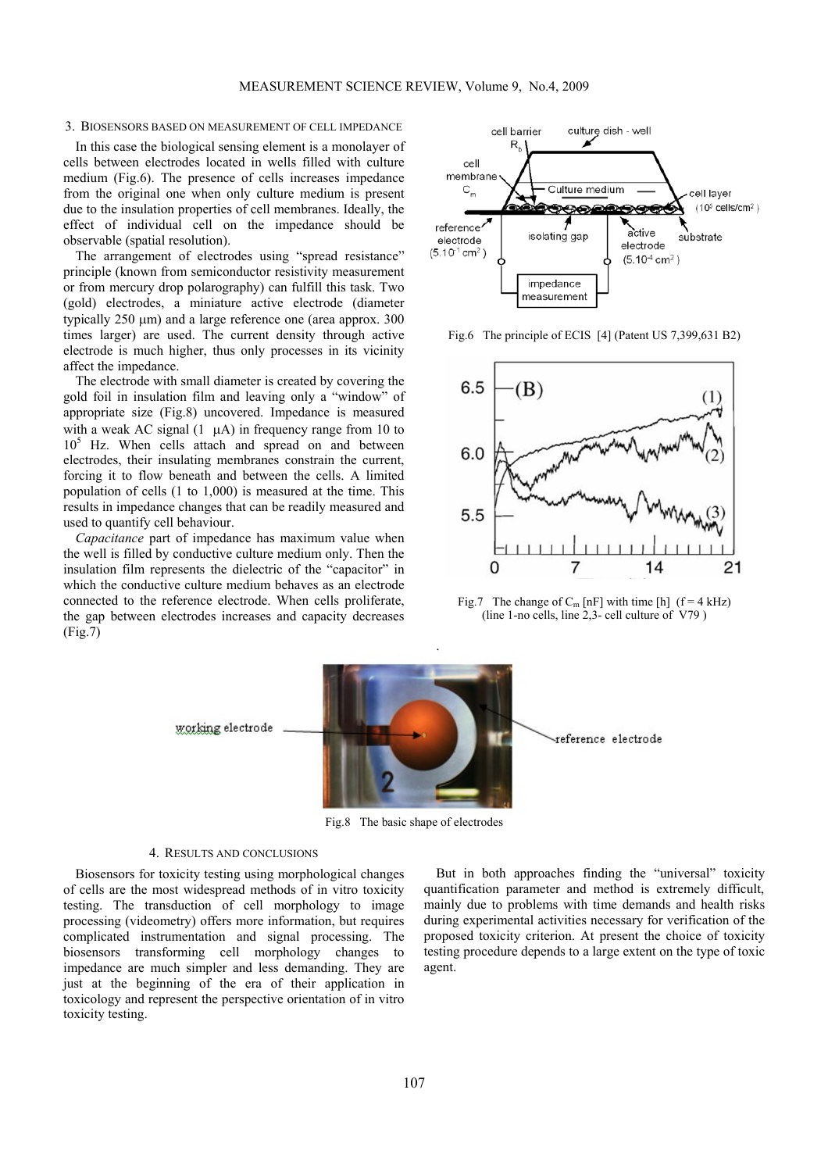#### 3. BIOSENSORS BASED ON MEASUREMENT OF CELL IMPEDANCE

In this case the biological sensing element is a monolayer of cells between electrodes located in wells filled with culture medium (Fig.6). The presence of cells increases impedance from the original one when only culture medium is present due to the insulation properties of cell membranes. Ideally, the effect of individual cell on the impedance should be observable (spatial resolution).

The arrangement of electrodes using "spread resistance" principle (known from semiconductor resistivity measurement or from mercury drop polarography) can fulfill this task. Two (gold) electrodes, a miniature active electrode (diameter typically 250 µm) and a large reference one (area approx. 300 times larger) are used. The current density through active electrode is much higher, thus only processes in its vicinity affect the impedance.

The electrode with small diameter is created by covering the gold foil in insulation film and leaving only a "window" of appropriate size (Fig.8) uncovered. Impedance is measured with a weak AC signal  $(1 \mu A)$  in frequency range from 10 to 10<sup>5</sup> Hz. When cells attach and spread on and between electrodes, their insulating membranes constrain the current, forcing it to flow beneath and between the cells. A limited population of cells (1 to 1,000) is measured at the time. This results in impedance changes that can be readily measured and used to quantify cell behaviour.

*Capacitance* part of impedance has maximum value when the well is filled by conductive culture medium only. Then the insulation film represents the dielectric of the "capacitor" in which the conductive culture medium behaves as an electrode connected to the reference electrode. When cells proliferate, the gap between electrodes increases and capacity decreases (Fig.7)



Fig.6 The principle of ECIS [4] (Patent US 7,399,631 B2)



Fig.7 The change of  $C_m$  [nF] with time [h] (f = 4 kHz) (line 1-no cells, line 2,3- cell culture of V79 )



.

Fig.8 The basic shape of electrodes

#### 4. RESULTS AND CONCLUSIONS

Biosensors for toxicity testing using morphological changes of cells are the most widespread methods of in vitro toxicity testing. The transduction of cell morphology to image processing (videometry) offers more information, but requires complicated instrumentation and signal processing. The biosensors transforming cell morphology changes to impedance are much simpler and less demanding. They are just at the beginning of the era of their application in toxicology and represent the perspective orientation of in vitro toxicity testing.

But in both approaches finding the "universal" toxicity quantification parameter and method is extremely difficult, mainly due to problems with time demands and health risks during experimental activities necessary for verification of the proposed toxicity criterion. At present the choice of toxicity testing procedure depends to a large extent on the type of toxic agent.